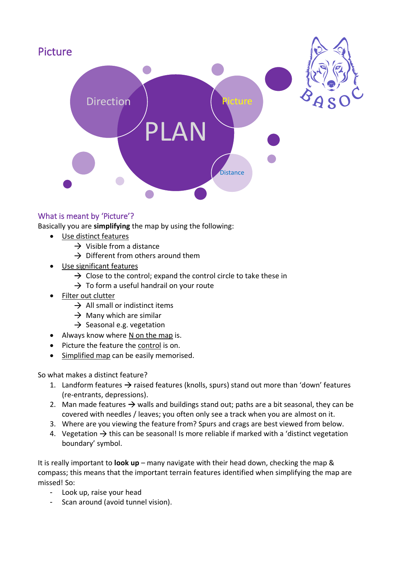

## What is meant by 'Picture'?

Basically you are **simplifying** the map by using the following:

- Use distinct features
	- $\rightarrow$  Visible from a distance
	- $\rightarrow$  Different from others around them
- Use significant features
	- $\rightarrow$  Close to the control: expand the control circle to take these in
	- $\rightarrow$  To form a useful handrail on your route
- Filter out clutter
	- $\rightarrow$  All small or indistinct items
	- $\rightarrow$  Many which are similar
	- $\rightarrow$  Seasonal e.g. vegetation
- Always know where N on the map is.
- Picture the feature the control is on.
- Simplified map can be easily memorised.

So what makes a distinct feature?

- 1. Landform features  $\rightarrow$  raised features (knolls, spurs) stand out more than 'down' features (re-entrants, depressions).
- 2. Man made features  $\rightarrow$  walls and buildings stand out; paths are a bit seasonal, they can be covered with needles / leaves; you often only see a track when you are almost on it.
- 3. Where are you viewing the feature from? Spurs and crags are best viewed from below.
- 4. Vegetation  $\rightarrow$  this can be seasonal! Is more reliable if marked with a 'distinct vegetation boundary' symbol.

It is really important to **look up** – many navigate with their head down, checking the map & compass; this means that the important terrain features identified when simplifying the map are missed! So:

- Look up, raise your head
- Scan around (avoid tunnel vision).